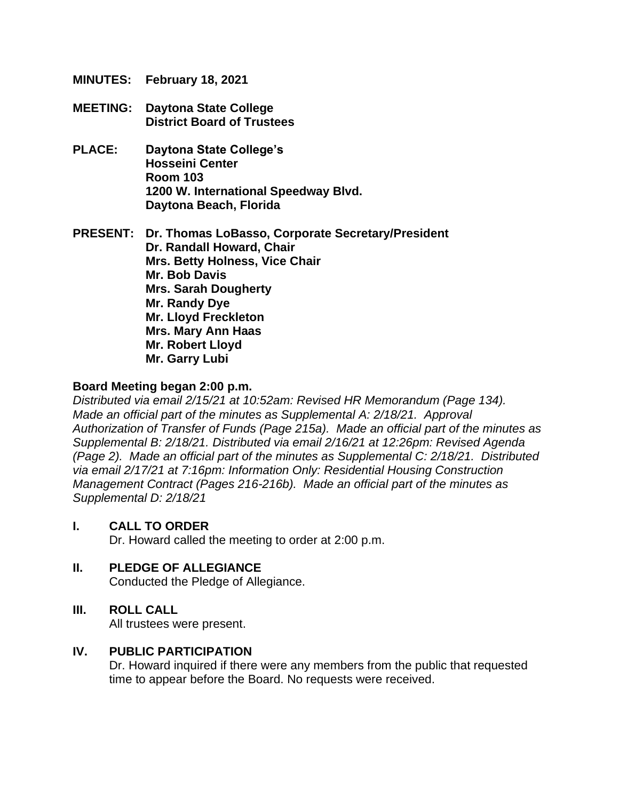- **MINUTES: February 18, 2021**
- **MEETING: Daytona State College District Board of Trustees**
- **PLACE: Daytona State College's Hosseini Center Room 103 1200 W. International Speedway Blvd. Daytona Beach, Florida**

**PRESENT: Dr. Thomas LoBasso, Corporate Secretary/President Dr. Randall Howard, Chair Mrs. Betty Holness, Vice Chair Mr. Bob Davis Mrs. Sarah Dougherty Mr. Randy Dye Mr. Lloyd Freckleton Mrs. Mary Ann Haas Mr. Robert Lloyd Mr. Garry Lubi**

#### **Board Meeting began 2:00 p.m.**

*Distributed via email 2/15/21 at 10:52am: Revised HR Memorandum (Page 134). Made an official part of the minutes as Supplemental A: 2/18/21. Approval Authorization of Transfer of Funds (Page 215a). Made an official part of the minutes as Supplemental B: 2/18/21. Distributed via email 2/16/21 at 12:26pm: Revised Agenda (Page 2). Made an official part of the minutes as Supplemental C: 2/18/21. Distributed via email 2/17/21 at 7:16pm: Information Only: Residential Housing Construction Management Contract (Pages 216-216b). Made an official part of the minutes as Supplemental D: 2/18/21*

#### **I. CALL TO ORDER**

Dr. Howard called the meeting to order at 2:00 p.m.

#### **II. PLEDGE OF ALLEGIANCE**

Conducted the Pledge of Allegiance.

#### **III. ROLL CALL**

All trustees were present.

#### **IV. PUBLIC PARTICIPATION**

Dr. Howard inquired if there were any members from the public that requested time to appear before the Board. No requests were received.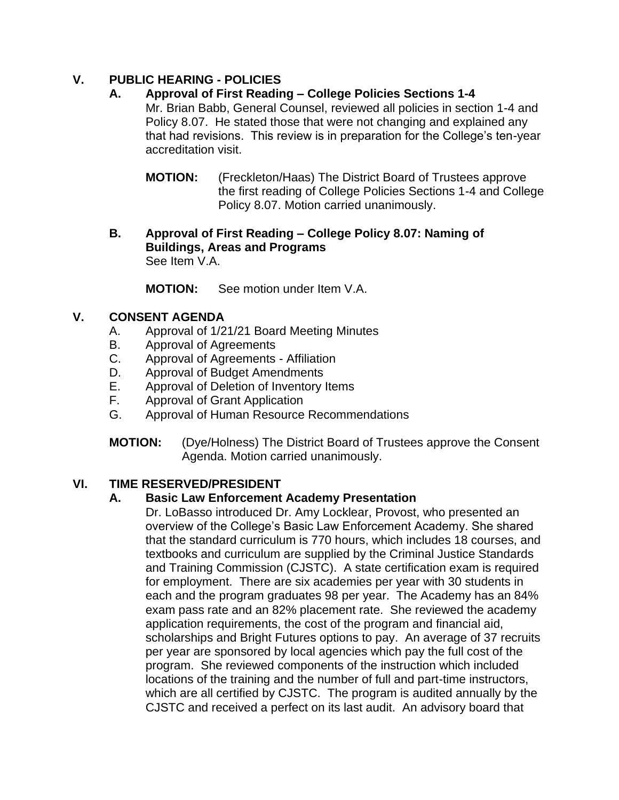# **V. PUBLIC HEARING - POLICIES**

- **A. Approval of First Reading – College Policies Sections 1-4** Mr. Brian Babb, General Counsel, reviewed all policies in section 1-4 and Policy 8.07. He stated those that were not changing and explained any that had revisions. This review is in preparation for the College's ten-year accreditation visit.
	- **MOTION:** (Freckleton/Haas) The District Board of Trustees approve the first reading of College Policies Sections 1-4 and College Policy 8.07. Motion carried unanimously.
- **B. Approval of First Reading – College Policy 8.07: Naming of Buildings, Areas and Programs** See Item V.A.

**MOTION:** See motion under Item V.A.

# **V. CONSENT AGENDA**

- A. Approval of 1/21/21 Board Meeting Minutes
- B. Approval of Agreements
- C. Approval of Agreements Affiliation
- D. Approval of Budget Amendments
- E. Approval of Deletion of Inventory Items
- F. Approval of Grant Application
- G. Approval of Human Resource Recommendations
- **MOTION:** (Dye/Holness) The District Board of Trustees approve the Consent Agenda. Motion carried unanimously.

# **VI. TIME RESERVED/PRESIDENT**

# **A. Basic Law Enforcement Academy Presentation**

Dr. LoBasso introduced Dr. Amy Locklear, Provost, who presented an overview of the College's Basic Law Enforcement Academy. She shared that the standard curriculum is 770 hours, which includes 18 courses, and textbooks and curriculum are supplied by the Criminal Justice Standards and Training Commission (CJSTC). A state certification exam is required for employment. There are six academies per year with 30 students in each and the program graduates 98 per year. The Academy has an 84% exam pass rate and an 82% placement rate. She reviewed the academy application requirements, the cost of the program and financial aid, scholarships and Bright Futures options to pay. An average of 37 recruits per year are sponsored by local agencies which pay the full cost of the program. She reviewed components of the instruction which included locations of the training and the number of full and part-time instructors, which are all certified by CJSTC. The program is audited annually by the CJSTC and received a perfect on its last audit. An advisory board that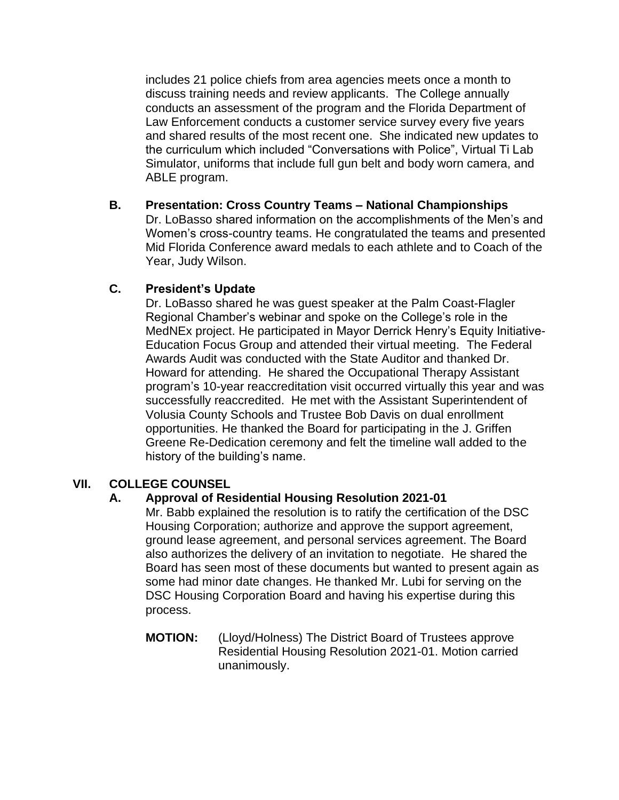includes 21 police chiefs from area agencies meets once a month to discuss training needs and review applicants. The College annually conducts an assessment of the program and the Florida Department of Law Enforcement conducts a customer service survey every five years and shared results of the most recent one. She indicated new updates to the curriculum which included "Conversations with Police", Virtual Ti Lab Simulator, uniforms that include full gun belt and body worn camera, and ABLE program.

**B. Presentation: Cross Country Teams – National Championships** Dr. LoBasso shared information on the accomplishments of the Men's and Women's cross-country teams. He congratulated the teams and presented Mid Florida Conference award medals to each athlete and to Coach of the Year, Judy Wilson.

# **C. President's Update**

Dr. LoBasso shared he was guest speaker at the Palm Coast-Flagler Regional Chamber's webinar and spoke on the College's role in the MedNEx project. He participated in Mayor Derrick Henry's Equity Initiative-Education Focus Group and attended their virtual meeting. The Federal Awards Audit was conducted with the State Auditor and thanked Dr. Howard for attending. He shared the Occupational Therapy Assistant program's 10-year reaccreditation visit occurred virtually this year and was successfully reaccredited. He met with the Assistant Superintendent of Volusia County Schools and Trustee Bob Davis on dual enrollment opportunities. He thanked the Board for participating in the J. Griffen Greene Re-Dedication ceremony and felt the timeline wall added to the history of the building's name.

# **VII. COLLEGE COUNSEL**

#### **A. Approval of Residential Housing Resolution 2021-01**

Mr. Babb explained the resolution is to ratify the certification of the DSC Housing Corporation; authorize and approve the support agreement, ground lease agreement, and personal services agreement. The Board also authorizes the delivery of an invitation to negotiate. He shared the Board has seen most of these documents but wanted to present again as some had minor date changes. He thanked Mr. Lubi for serving on the DSC Housing Corporation Board and having his expertise during this process.

**MOTION:** (Lloyd/Holness) The District Board of Trustees approve Residential Housing Resolution 2021-01. Motion carried unanimously.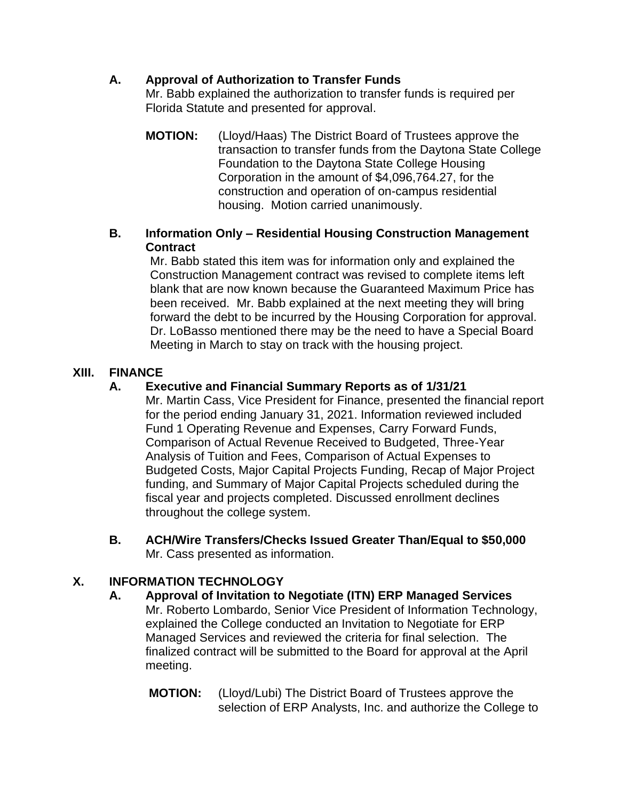# **A. Approval of Authorization to Transfer Funds**

Mr. Babb explained the authorization to transfer funds is required per Florida Statute and presented for approval.

**MOTION:** (Lloyd/Haas) The District Board of Trustees approve the transaction to transfer funds from the Daytona State College Foundation to the Daytona State College Housing Corporation in the amount of \$4,096,764.27, for the construction and operation of on-campus residential housing. Motion carried unanimously.

# **B. Information Only – Residential Housing Construction Management Contract**

Mr. Babb stated this item was for information only and explained the Construction Management contract was revised to complete items left blank that are now known because the Guaranteed Maximum Price has been received. Mr. Babb explained at the next meeting they will bring forward the debt to be incurred by the Housing Corporation for approval. Dr. LoBasso mentioned there may be the need to have a Special Board Meeting in March to stay on track with the housing project.

# **XIII. FINANCE**

# **A. Executive and Financial Summary Reports as of 1/31/21**

Mr. Martin Cass, Vice President for Finance, presented the financial report for the period ending January 31, 2021. Information reviewed included Fund 1 Operating Revenue and Expenses, Carry Forward Funds, Comparison of Actual Revenue Received to Budgeted, Three-Year Analysis of Tuition and Fees, Comparison of Actual Expenses to Budgeted Costs, Major Capital Projects Funding, Recap of Major Project funding, and Summary of Major Capital Projects scheduled during the fiscal year and projects completed. Discussed enrollment declines throughout the college system.

**B. ACH/Wire Transfers/Checks Issued Greater Than/Equal to \$50,000**  Mr. Cass presented as information.

# **X. INFORMATION TECHNOLOGY**

- **A. Approval of Invitation to Negotiate (ITN) ERP Managed Services** Mr. Roberto Lombardo, Senior Vice President of Information Technology, explained the College conducted an Invitation to Negotiate for ERP Managed Services and reviewed the criteria for final selection. The finalized contract will be submitted to the Board for approval at the April meeting.
	- **MOTION:** (Lloyd/Lubi) The District Board of Trustees approve the selection of ERP Analysts, Inc. and authorize the College to